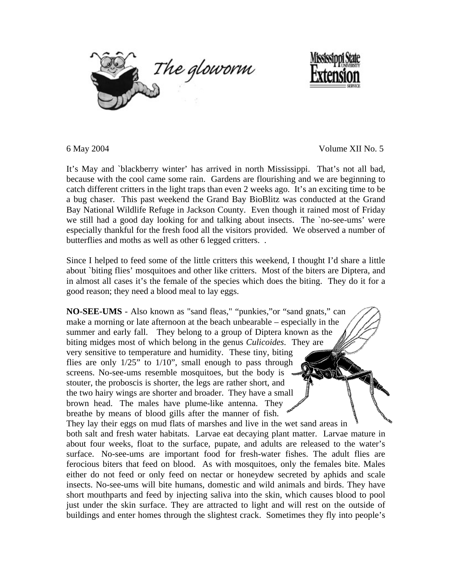



6 May 2004 Volume XII No. 5

It's May and `blackberry winter' has arrived in north Mississippi. That's not all bad, because with the cool came some rain. Gardens are flourishing and we are beginning to catch different critters in the light traps than even 2 weeks ago. It's an exciting time to be a bug chaser. This past weekend the Grand Bay BioBlitz was conducted at the Grand Bay National Wildlife Refuge in Jackson County. Even though it rained most of Friday we still had a good day looking for and talking about insects. The `no-see-ums' were especially thankful for the fresh food all the visitors provided. We observed a number of butterflies and moths as well as other 6 legged critters. .

Since I helped to feed some of the little critters this weekend, I thought I'd share a little about `biting flies' mosquitoes and other like critters. Most of the biters are Diptera, and in almost all cases it's the female of the species which does the biting. They do it for a good reason; they need a blood meal to lay eggs.

**NO-SEE-UMS** - Also known as "sand fleas," "punkies,"or "sand gnats," can make a morning or late afternoon at the beach unbearable – especially in the summer and early fall. They belong to a group of Diptera known as the biting midges most of which belong in the genus *Culicoides*. They are very sensitive to temperature and humidity. These tiny, biting flies are only 1/25" to 1/10", small enough to pass through screens. No-see-ums resemble mosquitoes, but the body is stouter, the proboscis is shorter, the legs are rather short, and the two hairy wings are shorter and broader. They have a small brown head. The males have plume-like antenna. They breathe by means of blood gills after the manner of fish. They lay their eggs on mud flats of marshes and live in the wet sand areas in both salt and fresh water habitats. Larvae eat decaying plant matter. Larvae mature in about four weeks, float to the surface, pupate, and adults are released to the water's surface. No-see-ums are important food for fresh-water fishes. The adult flies are ferocious biters that feed on blood. As with mosquitoes, only the females bite. Males either do not feed or only feed on nectar or honeydew secreted by aphids and scale insects. No-see-ums will bite humans, domestic and wild animals and birds. They have short mouthparts and feed by injecting saliva into the skin, which causes blood to pool just under the skin surface. They are attracted to light and will rest on the outside of

buildings and enter homes through the slightest crack. Sometimes they fly into people's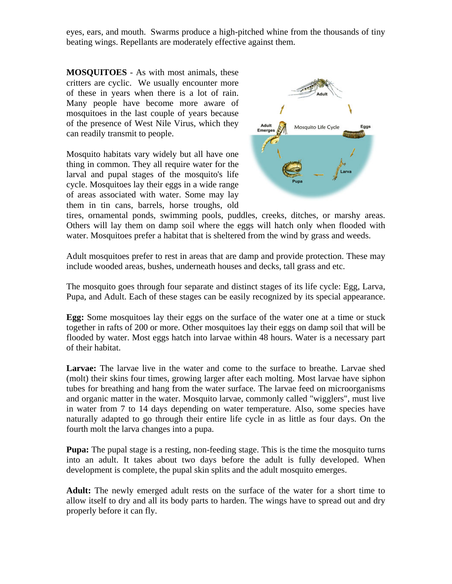eyes, ears, and mouth. Swarms produce a high-pitched whine from the thousands of tiny beating wings. Repellants are moderately effective against them.

**MOSQUITOES** - As with most animals, these critters are cyclic. We usually encounter more of these in years when there is a lot of rain. Many people have become more aware of mosquitoes in the last couple of years because of the presence of West Nile Virus, which they can readily transmit to people.

Mosquito habitats vary widely but all have one thing in common. They all require water for the larval and pupal stages of the mosquito's life cycle. Mosquitoes lay their eggs in a wide range of areas associated with water. Some may lay them in tin cans, barrels, horse troughs, old



tires, ornamental ponds, swimming pools, puddles, creeks, ditches, or marshy areas. Others will lay them on damp soil where the eggs will hatch only when flooded with water. Mosquitoes prefer a habitat that is sheltered from the wind by grass and weeds.

Adult mosquitoes prefer to rest in areas that are damp and provide protection. These may include wooded areas, bushes, underneath houses and decks, tall grass and etc.

The mosquito goes through four separate and distinct stages of its life cycle: Egg, Larva, Pupa, and Adult. Each of these stages can be easily recognized by its special appearance.

**Egg:** Some mosquitoes lay their eggs on the surface of the water one at a time or stuck together in rafts of 200 or more. Other mosquitoes lay their eggs on damp soil that will be flooded by water. Most eggs hatch into larvae within 48 hours. Water is a necessary part of their habitat.

**Larvae:** The larvae live in the water and come to the surface to breathe. Larvae shed (molt) their skins four times, growing larger after each molting. Most larvae have siphon tubes for breathing and hang from the water surface. The larvae feed on microorganisms and organic matter in the water. Mosquito larvae, commonly called "wigglers", must live in water from 7 to 14 days depending on water temperature. Also, some species have naturally adapted to go through their entire life cycle in as little as four days. On the fourth molt the larva changes into a pupa.

**Pupa:** The pupal stage is a resting, non-feeding stage. This is the time the mosquito turns into an adult. It takes about two days before the adult is fully developed. When development is complete, the pupal skin splits and the adult mosquito emerges.

**Adult:** The newly emerged adult rests on the surface of the water for a short time to allow itself to dry and all its body parts to harden. The wings have to spread out and dry properly before it can fly.